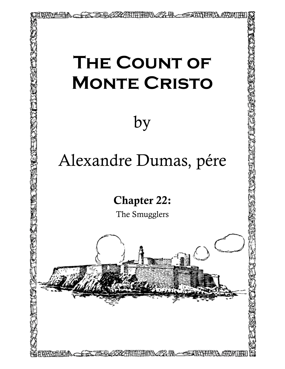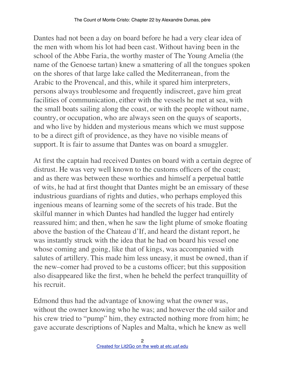Dantes had not been a day on board before he had a very clear idea of the men with whom his lot had been cast. Without having been in the school of the Abbe Faria, the worthy master of The Young Amelia (the name of the Genoese tartan) knew a smattering of all the tongues spoken on the shores of that large lake called the Mediterranean, from the Arabic to the Provencal, and this, while it spared him interpreters, persons always troublesome and frequently indiscreet, gave him great facilities of communication, either with the vessels he met at sea, with the small boats sailing along the coast, or with the people without name, country, or occupation, who are always seen on the quays of seaports, and who live by hidden and mysterious means which we must suppose to be a direct gift of providence, as they have no visible means of support. It is fair to assume that Dantes was on board a smuggler.

At first the captain had received Dantes on board with a certain degree of distrust. He was very well known to the customs officers of the coast; and as there was between these worthies and himself a perpetual battle of wits, he had at first thought that Dantes might be an emissary of these industrious guardians of rights and duties, who perhaps employed this ingenious means of learning some of the secrets of his trade. But the skilful manner in which Dantes had handled the lugger had entirely reassured him; and then, when he saw the light plume of smoke floating above the bastion of the Chateau d'If, and heard the distant report, he was instantly struck with the idea that he had on board his vessel one whose coming and going, like that of kings, was accompanied with salutes of artillery. This made him less uneasy, it must be owned, than if the new–comer had proved to be a customs officer; but this supposition also disappeared like the first, when he beheld the perfect tranquillity of his recruit.

Edmond thus had the advantage of knowing what the owner was, without the owner knowing who he was; and however the old sailor and his crew tried to "pump" him, they extracted nothing more from him; he gave accurate descriptions of Naples and Malta, which he knew as well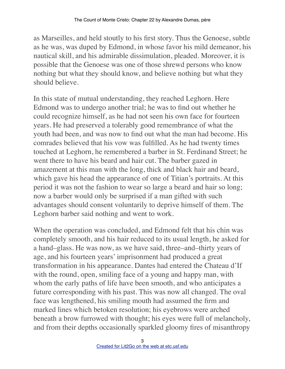as Marseilles, and held stoutly to his first story. Thus the Genoese, subtle as he was, was duped by Edmond, in whose favor his mild demeanor, his nautical skill, and his admirable dissimulation, pleaded. Moreover, it is possible that the Genoese was one of those shrewd persons who know nothing but what they should know, and believe nothing but what they should believe.

In this state of mutual understanding, they reached Leghorn. Here Edmond was to undergo another trial; he was to find out whether he could recognize himself, as he had not seen his own face for fourteen years. He had preserved a tolerably good remembrance of what the youth had been, and was now to find out what the man had become. His comrades believed that his vow was fulfilled. As he had twenty times touched at Leghorn, he remembered a barber in St. Ferdinand Street; he went there to have his beard and hair cut. The barber gazed in amazement at this man with the long, thick and black hair and beard, which gave his head the appearance of one of Titian's portraits. At this period it was not the fashion to wear so large a beard and hair so long; now a barber would only be surprised if a man gifted with such advantages should consent voluntarily to deprive himself of them. The Leghorn barber said nothing and went to work.

When the operation was concluded, and Edmond felt that his chin was completely smooth, and his hair reduced to its usual length, he asked for a hand–glass. He was now, as we have said, three–and–thirty years of age, and his fourteen years' imprisonment had produced a great transformation in his appearance. Dantes had entered the Chateau d'If with the round, open, smiling face of a young and happy man, with whom the early paths of life have been smooth, and who anticipates a future corresponding with his past. This was now all changed. The oval face was lengthened, his smiling mouth had assumed the firm and marked lines which betoken resolution; his eyebrows were arched beneath a brow furrowed with thought; his eyes were full of melancholy, and from their depths occasionally sparkled gloomy fires of misanthropy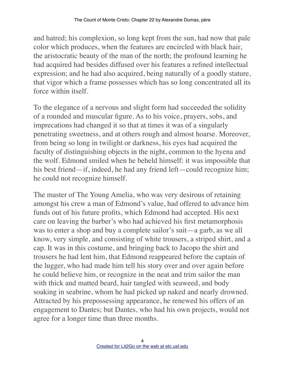and hatred; his complexion, so long kept from the sun, had now that pale color which produces, when the features are encircled with black hair, the aristocratic beauty of the man of the north; the profound learning he had acquired had besides diffused over his features a refined intellectual expression; and he had also acquired, being naturally of a goodly stature, that vigor which a frame possesses which has so long concentrated all its force within itself.

To the elegance of a nervous and slight form had succeeded the solidity of a rounded and muscular figure. As to his voice, prayers, sobs, and imprecations had changed it so that at times it was of a singularly penetrating sweetness, and at others rough and almost hoarse. Moreover, from being so long in twilight or darkness, his eyes had acquired the faculty of distinguishing objects in the night, common to the hyena and the wolf. Edmond smiled when he beheld himself: it was impossible that his best friend—if, indeed, he had any friend left—could recognize him; he could not recognize himself.

The master of The Young Amelia, who was very desirous of retaining amongst his crew a man of Edmond's value, had offered to advance him funds out of his future profits, which Edmond had accepted. His next care on leaving the barber's who had achieved his first metamorphosis was to enter a shop and buy a complete sailor's suit—a garb, as we all know, very simple, and consisting of white trousers, a striped shirt, and a cap. It was in this costume, and bringing back to Jacopo the shirt and trousers he had lent him, that Edmond reappeared before the captain of the lugger, who had made him tell his story over and over again before he could believe him, or recognize in the neat and trim sailor the man with thick and matted beard, hair tangled with seaweed, and body soaking in seabrine, whom he had picked up naked and nearly drowned. Attracted by his prepossessing appearance, he renewed his offers of an engagement to Dantes; but Dantes, who had his own projects, would not agree for a longer time than three months.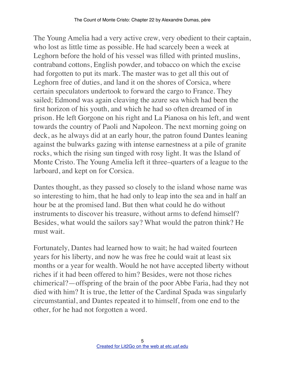The Young Amelia had a very active crew, very obedient to their captain, who lost as little time as possible. He had scarcely been a week at Leghorn before the hold of his vessel was filled with printed muslins, contraband cottons, English powder, and tobacco on which the excise had forgotten to put its mark. The master was to get all this out of Leghorn free of duties, and land it on the shores of Corsica, where certain speculators undertook to forward the cargo to France. They sailed; Edmond was again cleaving the azure sea which had been the first horizon of his youth, and which he had so often dreamed of in prison. He left Gorgone on his right and La Pianosa on his left, and went towards the country of Paoli and Napoleon. The next morning going on deck, as he always did at an early hour, the patron found Dantes leaning against the bulwarks gazing with intense earnestness at a pile of granite rocks, which the rising sun tinged with rosy light. It was the Island of Monte Cristo. The Young Amelia left it three–quarters of a league to the larboard, and kept on for Corsica.

Dantes thought, as they passed so closely to the island whose name was so interesting to him, that he had only to leap into the sea and in half an hour be at the promised land. But then what could he do without instruments to discover his treasure, without arms to defend himself? Besides, what would the sailors say? What would the patron think? He must wait.

Fortunately, Dantes had learned how to wait; he had waited fourteen years for his liberty, and now he was free he could wait at least six months or a year for wealth. Would he not have accepted liberty without riches if it had been offered to him? Besides, were not those riches chimerical?—offspring of the brain of the poor Abbe Faria, had they not died with him? It is true, the letter of the Cardinal Spada was singularly circumstantial, and Dantes repeated it to himself, from one end to the other, for he had not forgotten a word.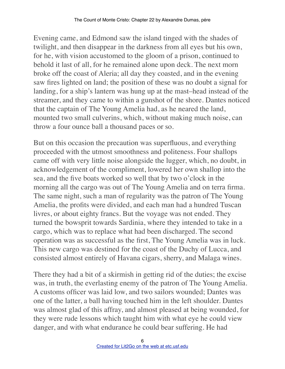Evening came, and Edmond saw the island tinged with the shades of twilight, and then disappear in the darkness from all eyes but his own, for he, with vision accustomed to the gloom of a prison, continued to behold it last of all, for he remained alone upon deck. The next morn broke off the coast of Aleria; all day they coasted, and in the evening saw fires lighted on land; the position of these was no doubt a signal for landing, for a ship's lantern was hung up at the mast–head instead of the streamer, and they came to within a gunshot of the shore. Dantes noticed that the captain of The Young Amelia had, as he neared the land, mounted two small culverins, which, without making much noise, can throw a four ounce ball a thousand paces or so.

But on this occasion the precaution was superfluous, and everything proceeded with the utmost smoothness and politeness. Four shallops came off with very little noise alongside the lugger, which, no doubt, in acknowledgement of the compliment, lowered her own shallop into the sea, and the five boats worked so well that by two o'clock in the morning all the cargo was out of The Young Amelia and on terra firma. The same night, such a man of regularity was the patron of The Young Amelia, the profits were divided, and each man had a hundred Tuscan livres, or about eighty francs. But the voyage was not ended. They turned the bowsprit towards Sardinia, where they intended to take in a cargo, which was to replace what had been discharged. The second operation was as successful as the first, The Young Amelia was in luck. This new cargo was destined for the coast of the Duchy of Lucca, and consisted almost entirely of Havana cigars, sherry, and Malaga wines.

There they had a bit of a skirmish in getting rid of the duties; the excise was, in truth, the everlasting enemy of the patron of The Young Amelia. A customs officer was laid low, and two sailors wounded; Dantes was one of the latter, a ball having touched him in the left shoulder. Dantes was almost glad of this affray, and almost pleased at being wounded, for they were rude lessons which taught him with what eye he could view danger, and with what endurance he could bear suffering. He had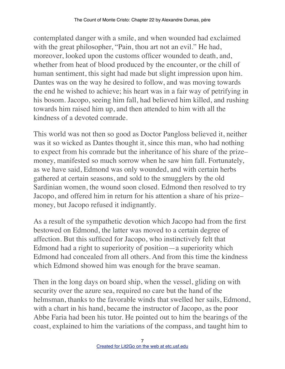contemplated danger with a smile, and when wounded had exclaimed with the great philosopher, "Pain, thou art not an evil." He had, moreover, looked upon the customs officer wounded to death, and, whether from heat of blood produced by the encounter, or the chill of human sentiment, this sight had made but slight impression upon him. Dantes was on the way he desired to follow, and was moving towards the end he wished to achieve; his heart was in a fair way of petrifying in his bosom. Jacopo, seeing him fall, had believed him killed, and rushing towards him raised him up, and then attended to him with all the kindness of a devoted comrade.

This world was not then so good as Doctor Pangloss believed it, neither was it so wicked as Dantes thought it, since this man, who had nothing to expect from his comrade but the inheritance of his share of the prize– money, manifested so much sorrow when he saw him fall. Fortunately, as we have said, Edmond was only wounded, and with certain herbs gathered at certain seasons, and sold to the smugglers by the old Sardinian women, the wound soon closed. Edmond then resolved to try Jacopo, and offered him in return for his attention a share of his prize– money, but Jacopo refused it indignantly.

As a result of the sympathetic devotion which Jacopo had from the first bestowed on Edmond, the latter was moved to a certain degree of affection. But this sufficed for Jacopo, who instinctively felt that Edmond had a right to superiority of position—a superiority which Edmond had concealed from all others. And from this time the kindness which Edmond showed him was enough for the brave seaman.

Then in the long days on board ship, when the vessel, gliding on with security over the azure sea, required no care but the hand of the helmsman, thanks to the favorable winds that swelled her sails, Edmond, with a chart in his hand, became the instructor of Jacopo, as the poor Abbe Faria had been his tutor. He pointed out to him the bearings of the coast, explained to him the variations of the compass, and taught him to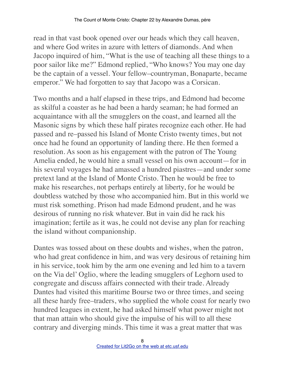read in that vast book opened over our heads which they call heaven, and where God writes in azure with letters of diamonds. And when Jacopo inquired of him, "What is the use of teaching all these things to a poor sailor like me?" Edmond replied, "Who knows? You may one day be the captain of a vessel. Your fellow–countryman, Bonaparte, became emperor." We had forgotten to say that Jacopo was a Corsican.

Two months and a half elapsed in these trips, and Edmond had become as skilful a coaster as he had been a hardy seaman; he had formed an acquaintance with all the smugglers on the coast, and learned all the Masonic signs by which these half pirates recognize each other. He had passed and re–passed his Island of Monte Cristo twenty times, but not once had he found an opportunity of landing there. He then formed a resolution. As soon as his engagement with the patron of The Young Amelia ended, he would hire a small vessel on his own account—for in his several voyages he had amassed a hundred piastres—and under some pretext land at the Island of Monte Cristo. Then he would be free to make his researches, not perhaps entirely at liberty, for he would be doubtless watched by those who accompanied him. But in this world we must risk something. Prison had made Edmond prudent, and he was desirous of running no risk whatever. But in vain did he rack his imagination; fertile as it was, he could not devise any plan for reaching the island without companionship.

Dantes was tossed about on these doubts and wishes, when the patron, who had great confidence in him, and was very desirous of retaining him in his service, took him by the arm one evening and led him to a tavern on the Via del' Oglio, where the leading smugglers of Leghorn used to congregate and discuss affairs connected with their trade. Already Dantes had visited this maritime Bourse two or three times, and seeing all these hardy free–traders, who supplied the whole coast for nearly two hundred leagues in extent, he had asked himself what power might not that man attain who should give the impulse of his will to all these contrary and diverging minds. This time it was a great matter that was